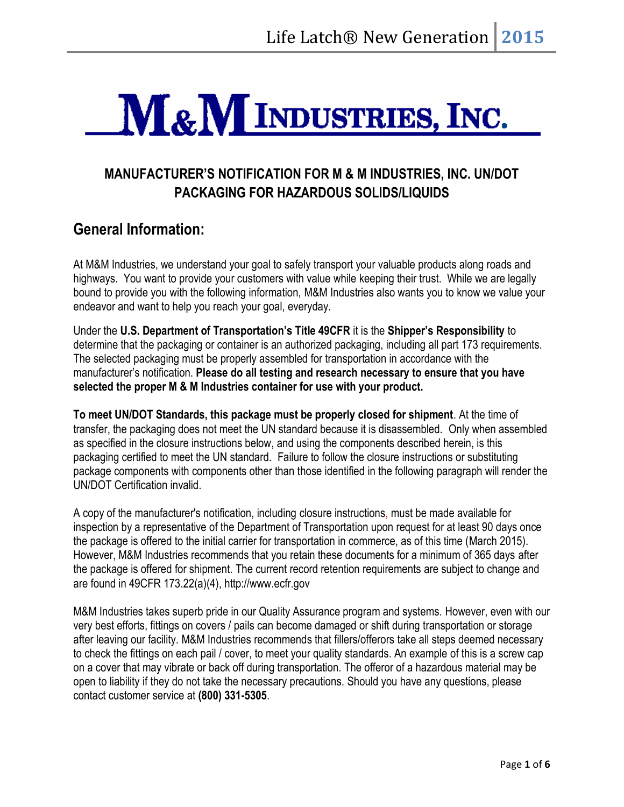# M&M INDUSTRIES, INC.

## **MANUFACTURER'S NOTIFICATION FOR M & M INDUSTRIES, INC. UN/DOT PACKAGING FOR HAZARDOUS SOLIDS/LIQUIDS**

### **General Information:**

At M&M Industries, we understand your goal to safely transport your valuable products along roads and highways. You want to provide your customers with value while keeping their trust. While we are legally bound to provide you with the following information, M&M Industries also wants you to know we value your endeavor and want to help you reach your goal, everyday.

Under the **U.S. Department of Transportation's Title 49CFR** it is the **Shipper's Responsibility** to determine that the packaging or container is an authorized packaging, including all part 173 requirements. The selected packaging must be properly assembled for transportation in accordance with the manufacturer's notification. **Please do all testing and research necessary to ensure that you have selected the proper M & M Industries container for use with your product.**

**To meet UN/DOT Standards, this package must be properly closed for shipment**. At the time of transfer, the packaging does not meet the UN standard because it is disassembled. Only when assembled as specified in the closure instructions below, and using the components described herein, is this packaging certified to meet the UN standard. Failure to follow the closure instructions or substituting package components with components other than those identified in the following paragraph will render the UN/DOT Certification invalid.

A copy of the manufacturer's notification, including closure instructions, must be made available for inspection by a representative of the Department of Transportation upon request for at least 90 days once the package is offered to the initial carrier for transportation in commerce, as of this time (March 2015). However, M&M Industries recommends that you retain these documents for a minimum of 365 days after the package is offered for shipment. The current record retention requirements are subject to change and are found in 49CFR 173.22(a)(4), http://www.ecfr.gov

M&M Industries takes superb pride in our Quality Assurance program and systems. However, even with our very best efforts, fittings on covers / pails can become damaged or shift during transportation or storage after leaving our facility. M&M Industries recommends that fillers/offerors take all steps deemed necessary to check the fittings on each pail / cover, to meet your quality standards. An example of this is a screw cap on a cover that may vibrate or back off during transportation. The offeror of a hazardous material may be open to liability if they do not take the necessary precautions. Should you have any questions, please contact customer service at **(800) 331-5305**.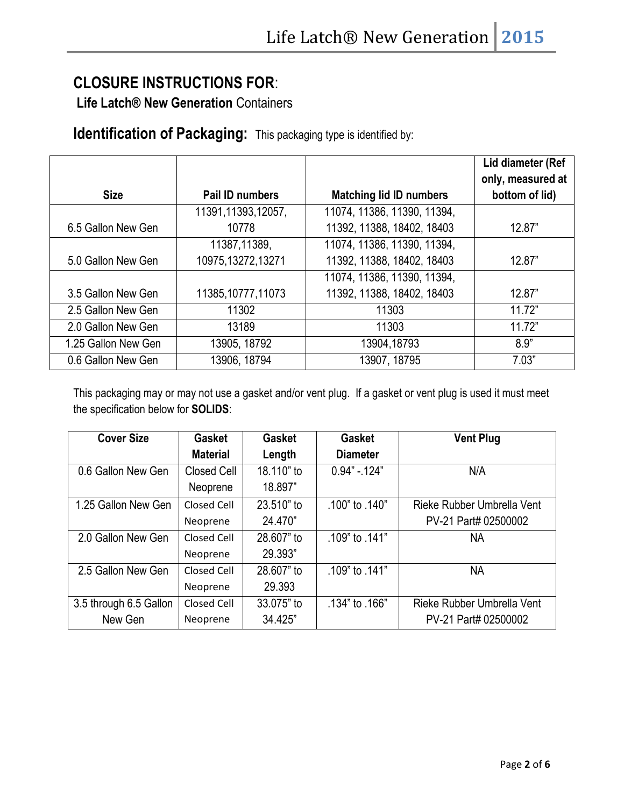# **CLOSURE INSTRUCTIONS FOR**:

**Life Latch® New Generation** Containers

**Identification of Packaging:** This packaging type is identified by:

|                     |                        |                                | Lid diameter (Ref<br>only, measured at |
|---------------------|------------------------|--------------------------------|----------------------------------------|
| <b>Size</b>         | <b>Pail ID numbers</b> | <b>Matching lid ID numbers</b> | bottom of lid)                         |
|                     | 11391, 11393, 12057,   | 11074, 11386, 11390, 11394,    |                                        |
| 6.5 Gallon New Gen  | 10778                  | 11392, 11388, 18402, 18403     | 12.87"                                 |
|                     | 11387,11389,           | 11074, 11386, 11390, 11394,    |                                        |
| 5.0 Gallon New Gen  | 10975,13272,13271      | 11392, 11388, 18402, 18403     | 12.87"                                 |
|                     |                        | 11074, 11386, 11390, 11394,    |                                        |
| 3.5 Gallon New Gen  | 11385, 10777, 11073    | 11392, 11388, 18402, 18403     | 12.87"                                 |
| 2.5 Gallon New Gen  | 11302                  | 11303                          | 11.72"                                 |
| 2.0 Gallon New Gen  | 13189                  | 11303                          | 11.72"                                 |
| 1.25 Gallon New Gen | 13905, 18792           | 13904,18793                    | 8.9"                                   |
| 0.6 Gallon New Gen  | 13906, 18794           | 13907, 18795                   | 7.03"                                  |

This packaging may or may not use a gasket and/or vent plug. If a gasket or vent plug is used it must meet the specification below for **SOLIDS**:

| <b>Cover Size</b>      | <b>Gasket</b>   | <b>Gasket</b> | <b>Gasket</b>   | <b>Vent Plug</b>           |
|------------------------|-----------------|---------------|-----------------|----------------------------|
|                        | <b>Material</b> | Length        | <b>Diameter</b> |                            |
| 0.6 Gallon New Gen     | Closed Cell     | 18.110" to    | $0.94" - 124"$  | N/A                        |
|                        | Neoprene        | 18.897"       |                 |                            |
| 1.25 Gallon New Gen    | Closed Cell     | 23.510" to    | .100" to .140"  | Rieke Rubber Umbrella Vent |
|                        | Neoprene        | 24.470"       |                 | PV-21 Part# 02500002       |
| 2.0 Gallon New Gen     | Closed Cell     | 28.607" to    | .109" to .141"  | NA                         |
|                        | Neoprene        | 29.393"       |                 |                            |
| 2.5 Gallon New Gen     | Closed Cell     | 28.607" to    | .141" to .141   | NA                         |
|                        | Neoprene        | 29.393        |                 |                            |
| 3.5 through 6.5 Gallon | Closed Cell     | 33.075" to    | .134" to .166". | Rieke Rubber Umbrella Vent |
| New Gen                | Neoprene        | 34.425"       |                 | PV-21 Part# 02500002       |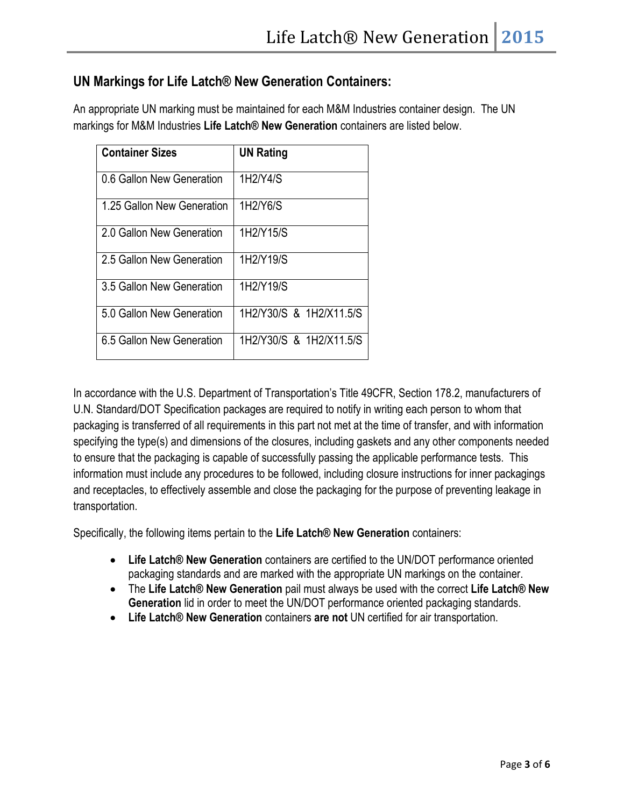#### **UN Markings for Life Latch® New Generation Containers:**

An appropriate UN marking must be maintained for each M&M Industries container design. The UN markings for M&M Industries **Life Latch® New Generation** containers are listed below.

| <b>Container Sizes</b>     | <b>UN Rating</b>        |
|----------------------------|-------------------------|
| 0.6 Gallon New Generation  | 1H2/Y4/S                |
| 1.25 Gallon New Generation | 1H2/Y6/S                |
| 2.0 Gallon New Generation  | 1H2/Y15/S               |
| 2.5 Gallon New Generation  | 1H2/Y19/S               |
| 3.5 Gallon New Generation  | 1H2/Y19/S               |
| 5.0 Gallon New Generation  | 1H2/Y30/S & 1H2/X11.5/S |
| 6.5 Gallon New Generation  | 1H2/Y30/S & 1H2/X11.5/S |

In accordance with the U.S. Department of Transportation's Title 49CFR, Section 178.2, manufacturers of U.N. Standard/DOT Specification packages are required to notify in writing each person to whom that packaging is transferred of all requirements in this part not met at the time of transfer, and with information specifying the type(s) and dimensions of the closures, including gaskets and any other components needed to ensure that the packaging is capable of successfully passing the applicable performance tests. This information must include any procedures to be followed, including closure instructions for inner packagings and receptacles, to effectively assemble and close the packaging for the purpose of preventing leakage in transportation.

Specifically, the following items pertain to the **Life Latch® New Generation** containers:

- **Life Latch® New Generation** containers are certified to the UN/DOT performance oriented packaging standards and are marked with the appropriate UN markings on the container.
- The **Life Latch® New Generation** pail must always be used with the correct **Life Latch® New Generation** lid in order to meet the UN/DOT performance oriented packaging standards.
- **Life Latch® New Generation** containers **are not** UN certified for air transportation.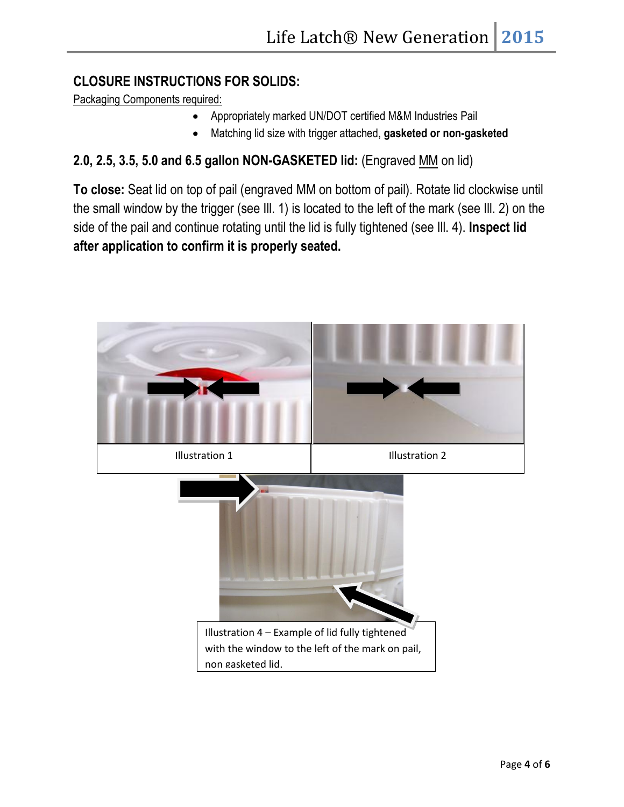#### **CLOSURE INSTRUCTIONS FOR SOLIDS:**

Packaging Components required:

- Appropriately marked UN/DOT certified M&M Industries Pail
- Matching lid size with trigger attached, **gasketed or non-gasketed**

#### **2.0, 2.5, 3.5, 5.0 and 6.5 gallon NON-GASKETED lid:** (Engraved MM on lid)

**To close:** Seat lid on top of pail (engraved MM on bottom of pail). Rotate lid clockwise until the small window by the trigger (see Ill. 1) is located to the left of the mark (see Ill. 2) on the side of the pail and continue rotating until the lid is fully tightened (see Ill. 4). **Inspect lid after application to confirm it is properly seated.** 

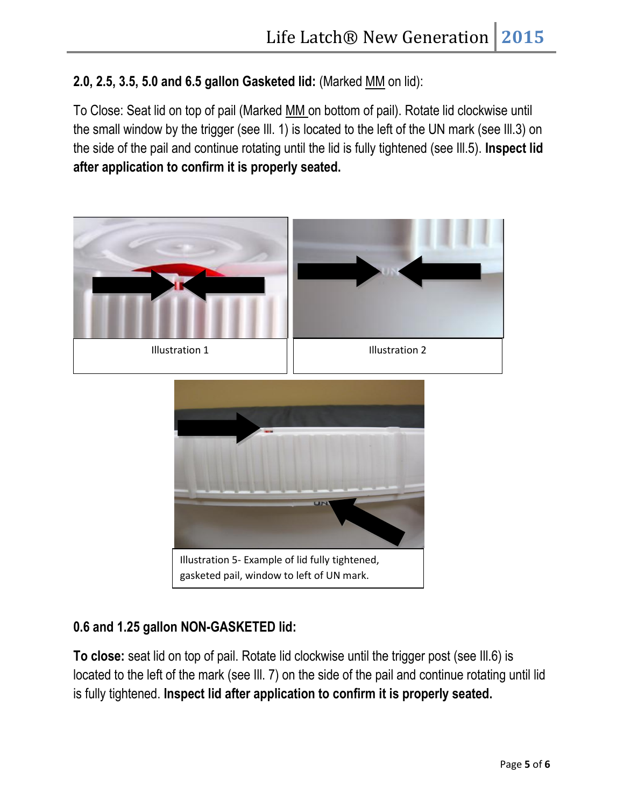**2.0, 2.5, 3.5, 5.0 and 6.5 gallon Gasketed lid:** (Marked MM on lid):

To Close: Seat lid on top of pail (Marked MM on bottom of pail). Rotate lid clockwise until the small window by the trigger (see Ill. 1) is located to the left of the UN mark (see Ill.3) on the side of the pail and continue rotating until the lid is fully tightened (see Ill.5). **Inspect lid after application to confirm it is properly seated.**



#### **0.6 and 1.25 gallon NON-GASKETED lid:**

**To close:** seat lid on top of pail. Rotate lid clockwise until the trigger post (see Ill.6) is located to the left of the mark (see Ill. 7) on the side of the pail and continue rotating until lid is fully tightened. **Inspect lid after application to confirm it is properly seated.**